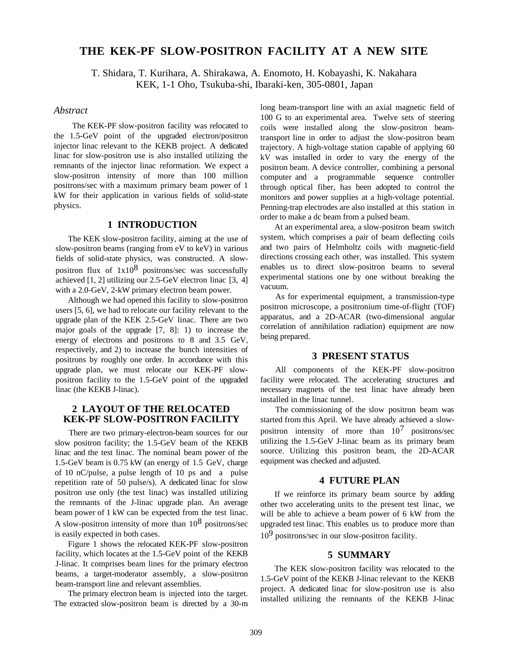# **THE KEK-PF SLOW-POSITRON FACILITY AT A NEW SITE**

T. Shidara, T. Kurihara, A. Shirakawa, A. Enomoto, H. Kobayashi, K. Nakahara KEK, 1-1 Oho, Tsukuba-shi, Ibaraki-ken, 305-0801, Japan

# *Abstract*

The KEK-PF slow-positron facility was relocated to the 1.5-GeV point of the upgraded electron/positron injector linac relevant to the KEKB project. A dedicated linac for slow-positron use is also installed utilizing the remnants of the injector linac reformation. We expect a slow-positron intensity of more than 100 million positrons/sec with a maximum primary beam power of 1 kW for their application in various fields of solid-state physics.

### **1 INTRODUCTION**

The KEK slow-positron facility, aiming at the use of slow-positron beams (ranging from eV to keV) in various fields of solid-state physics, was constructed. A slowpositron flux of  $1x10^8$  positrons/sec was successfully achieved [1, 2] utilizing our 2.5-GeV electron linac [3, 4] with a 2.0-GeV, 2-kW primary electron beam power.

Although we had opened this facility to slow-positron users [5, 6], we had to relocate our facility relevant to the upgrade plan of the KEK 2.5-GeV linac. There are two major goals of the upgrade [7, 8]: 1) to increase the energy of electrons and positrons to 8 and 3.5 GeV, respectively, and 2) to increase the bunch intensities of positrons by roughly one order. In accordance with this upgrade plan, we must relocate our KEK-PF slowpositron facility to the 1.5-GeV point of the upgraded linac (the KEKB J-linac).

## **2 LAYOUT OF THE RELOCATED KEK-PF SLOW-POSITRON FACILITY**

There are two primary-electron-beam sources for our slow positron facility; the 1.5-GeV beam of the KEKB linac and the test linac. The nominal beam power of the 1.5-GeV beam is 0.75 kW (an energy of 1.5 GeV, charge of 10 nC/pulse, a pulse length of 10 ps and a pulse repetition rate of 50 pulse/s). A dedicated linac for slow positron use only (the test linac) was installed utilizing the remnants of the J-linac upgrade plan. An average beam power of 1 kW can be expected from the test linac. A slow-positron intensity of more than  $10^8$  positrons/sec is easily expected in both cases.

Figure 1 shows the relocated KEK-PF slow-positron facility, which locates at the 1.5-GeV point of the KEKB J-linac. It comprises beam lines for the primary electron beams, a target-moderator assembly, a slow-positron beam-transport line and relevant assemblies.

The primary electron beam is injected into the target. The extracted slow-positron beam is directed by a 30-m long beam-transport line with an axial magnetic field of 100 G to an experimental area. Twelve sets of steering coils were installed along the slow-positron beamtransport line in order to adjust the slow-positron beam trajectory. A high-voltage station capable of applying 60 kV was installed in order to vary the energy of the positron beam. A device controller, combining a personal computer and a programmable sequence controller through optical fiber, has been adopted to control the monitors and power supplies at a high-voltage potential. Penning-trap electrodes are also installed at this station in order to make a dc beam from a pulsed beam.

At an experimental area, a slow-positron beam switch system, which comprises a pair of beam deflecting coils and two pairs of Helmholtz coils with magnetic-field directions crossing each other, was installed. This system enables us to direct slow-positron beams to several experimental stations one by one without breaking the vacuum.

As for experimental equipment, a transmission-type positron microscope, a positronium time-of-flight (TOF) apparatus, and a 2D-ACAR (two-dimensional angular correlation of annihilation radiation) equipment are now being prepared.

# **3 PRESENT STATUS**

All components of the KEK-PF slow-positron facility were relocated. The accelerating structures and necessary magnets of the test linac have already been installed in the linac tunnel.

The commissioning of the slow positron beam was started from this April. We have already achieved a slowpositron intensity of more than  $10^7$  positrons/sec utilizing the 1.5-GeV J-linac beam as its primary beam source. Utilizing this positron beam, the 2D-ACAR equipment was checked and adjusted.

### **4 FUTURE PLAN**

If we reinforce its primary beam source by adding other two accelerating units to the present test linac, we will be able to achieve a beam power of 6 kW from the upgraded test linac. This enables us to produce more than  $10<sup>9</sup>$  positrons/sec in our slow-positron facility.

### **5 SUMMARY**

The KEK slow-positron facility was relocated to the 1.5-GeV point of the KEKB J-linac relevant to the KEKB project. A dedicated linac for slow-positron use is also installed utilizing the remnants of the KEKB J-linac